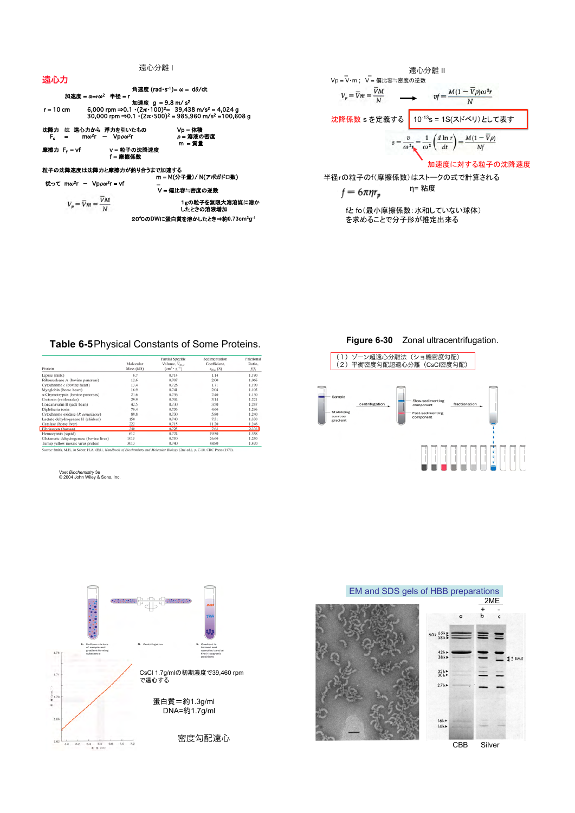角速度 (rad-s-1)= ω = dθ/dt 加速度 = α=rω<sup>2</sup> 半径 = r

= α=rω- + + + = = h<br>6,000 rpm ⇒0.1 · (2π·100)<sup>2</sup> = 39,438 m/s<sup>2</sup> = 4,024 g<br>30,000 rpm ⇒0.1 · (2π·500)<sup>2</sup> = 985,960 m/s<sup>2</sup> =100,608 g  $r = 10$  cm

沈降力 は 遠心力から 浮力を引いたもの<br>F<sub>s</sub> = mω<sup>2</sup>r - Vpρω<sup>2</sup>r  $F_{\rm s}$ 

摩擦力 F. = vf

v = 粒子の沈降速度<br>f = 摩擦係数

粒子の沈降速度は沈降力と摩擦力が釣り合うまで加速する<br>m = M(分子量)/ N(アポガドロ教)

従って mω<sup>2</sup>r - Vpρω<sup>2</sup>r = vf  $V_p = \overline{V}m = \frac{\overline{V}M}{\overline{V}}$ 

-<br>Ⅴ = 偏比容≒密度の逆数 1gの粒子を無限大溶溶媒に溶か<br>したときの溶液増加

Vp = 体積<br>ρ = 溶液の密度

 $-$  TH

20℃のDWに蛋白質を溶かしたとき⇒約0.73cm3g-1

遠心分離Ⅱ Vp = V·m; V = 偏比容≒密度の逆数  $V_p = \overline{V}m = \frac{\overline{V}M}{\overline{V}}$  $v f = \frac{M(1-\overline{V}\rho)\omega^2r}{}$  $\overline{N}$ 沈降係数 s を定義する 10-13s = 1S(スドベリ)として表す  $M(1-\overline{V}\rho)$  $\,1$  $\left(\frac{d \ln r}{r}\right)$  $s =$  $\overline{\omega^2}$  $\frac{dt}{dt}$  $Nf$  $\omega^2$ 加速度に対する粒子の沈降速度

半径rの粒子のf(摩擦係数)はストークの式で計算される

$$
f = 6\pi \eta r_p \qquad \qquad \eta = * \text{Re}
$$

fとfo(最小摩擦係数:水和していない球体) を求めることで分子形が推定出来る

## Table 6-5 Physical Constants of Some Proteins.

| Protein                                | Molecular<br>Mass (kD) | Partial Specific<br>Volume, $V_{20x}$<br>$(cm^{3} \cdot g^{-1})$ | Sedimentation<br>Coefficient,<br>$s_{20\nu}$ (S) | Frictional<br>Ratio,<br>f/fo |
|----------------------------------------|------------------------|------------------------------------------------------------------|--------------------------------------------------|------------------------------|
| Lipase (milk)                          | 6.7                    | 0.714                                                            | 1.14                                             | 1.190                        |
| Ribonuclease A (bovine pancreas)       | 12.6                   | 0.707                                                            | 2.00                                             | 1.066                        |
| Cytochrome c (bovine heart)            | 13.4                   | 0.728                                                            | 1.71                                             | 1.190                        |
| Myoglobin (horse heart)                | 16.9                   | 0.741                                                            | 2.04                                             | 1.105                        |
| α-Chymotrypsin (bovine pancreas)       | 21.6                   | 0.736                                                            | 2.40                                             | 1.130                        |
| Crotoxin (rattlesnake)                 | 29.9                   | 0.704                                                            | 3.14                                             | 1.221                        |
| Concanavalin B (jack bean)             | 42.5                   | 0.730                                                            | 3.50                                             | 1.247                        |
| Diphtheria toxin                       | 70.4                   | 0.736                                                            | 4,60                                             | 1.296                        |
| Cytochrome oxidase (P. aeruginosa)     | 89.8                   | 0.730                                                            | 5.80                                             | 1.240                        |
| Lactate dehydrogenase H (chicken)      | 150                    | 0.740                                                            | 7.31                                             | 1.330                        |
| Catalase (horse liver)                 | 222                    | 0.715                                                            | 11.20                                            | 1.246                        |
| Fibrinogen (human)                     | 340                    | 0.725                                                            | 7.63                                             | 2.336                        |
| Hemocyanin (squid)                     | 612                    | 0.724                                                            | 19.50                                            | 1.358                        |
| Glutamate dehydrogenase (bovine liver) | 1015                   | 0.750                                                            | 26.60                                            | 1.250                        |
| Turnip vellow mosaic virus protein     | 3013                   | 0.740                                                            | 48.80                                            | 1.470                        |

Source: Smith, M.H., in Sober, H.A. (Ed.), Handbook of Biochemistry and Molecular Biology (2nd ed.), p. C-10, CRC Press (1970).

Voet *Biochemistry* 3e<br>© 2004 John Wiley & Sons, Inc.



Figure 6-30 Zonal ultracentrifugation.



EM and SDS gels of HBB preparations





## 遠心力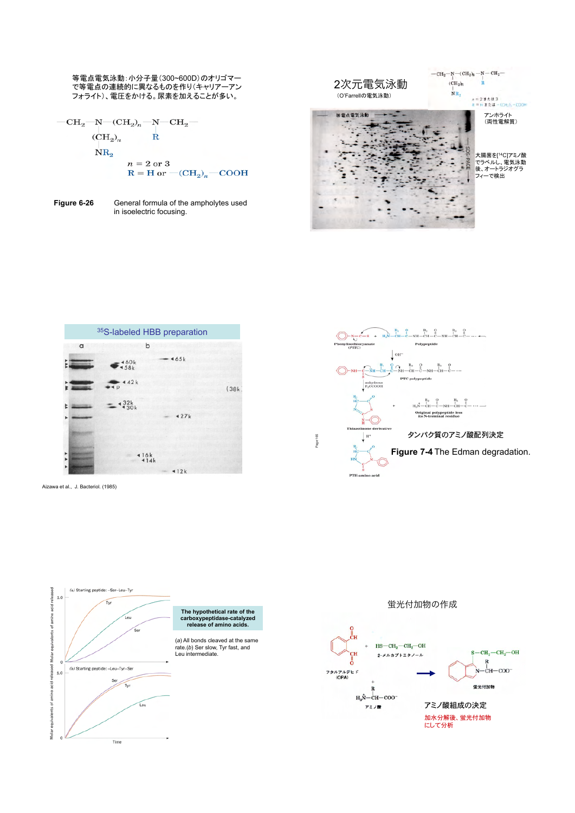等電点電気泳動:小分子量(300~600D)のオリゴマー で等電点の連続的に異なるものを作り(キャリアーアン フォライト)、電圧をかける。尿素を加えることが多い。

$$
\begin{array}{c}\n\text{--} \text{CH}_2\text{--} \text{N--} \text{CH}_2\text{--} \text{--} \\\n\text{--} \\\n\text{--} \\\n\text{--} \\\n\text{--} \\\n\text{--} \\\n\text{--} \\\n\text{--} \\\n\text{--} \\\n\text{--} \\\n\text{--} \\\n\text{--} \\\n\text{--} \\\n\text{--} \\\n\text{--} \\\n\text{--} \\\n\text{--} \\\n\text{--} \\\n\text{--} \\\n\text{--} \\\n\text{--} \\\n\text{--} \\\n\text{--} \\\n\text{--} \\\n\text{--} \\\n\text{--} \\\n\text{--} \\\n\text{--} \\\n\text{--} \\\n\text{--} \\\n\text{--} \\\n\text{--} \\\n\text{--} \\\n\text{--} \\\n\text{--} \\\n\text{--} \\\n\text{--} \\\n\text{--} \\\n\text{--} \\\n\text{--} \\\n\text{--} \\\n\text{--} \\\n\text{--} \\\n\text{--} \\\n\text{--} \\\n\text{--} \\\n\text{--} \\\n\text{--} \\\n\text{--} \\\n\text{--} \\\n\text{--} \\\n\text{--} \\\n\text{--} \\\n\text{--} \\\n\text{--} \\\n\text{--} \\\n\text{--} \\\n\text{--} \\\n\text{--} \\\n\text{--} \\\n\text{--} \\\n\text{--} \\\n\text{--} \\\n\text{--} \\\n\text{--} \\\n\text{--} \\\n\text{--} \\\n\text{--} \\\n\text{--} \\\n\text{--} \\\n\text{--} \\\n\text{--} \\\n\text{--} \\\n\text{--} \\\n\text{--} \\\n\text{--} \\\n\text{--} \\\n\text{--} \\\n\text{--} \\\n\text{--} \\\n\text{--} \\\n\text{--} \\\n\text{--} \\\n\text{--} \\\n\text{--} \\\n\text{--} \\\n\text{--} \\\n\text{--} \\\n\text{--} \\\n\text{--} \\\
$$

- 
- **Figure 6-26** General formula of the ampholytes used in isoelectric focusing.





Aizawa et al., J. Bacteriol. (1985)